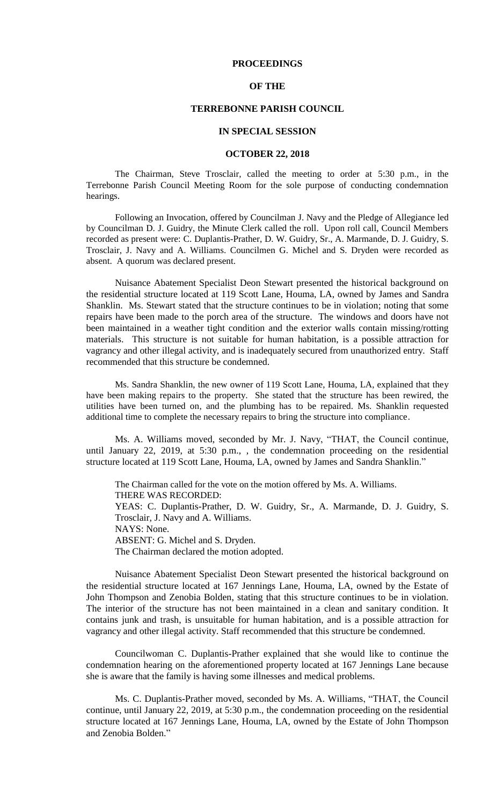### **PROCEEDINGS**

## **OF THE**

## **TERREBONNE PARISH COUNCIL**

#### **IN SPECIAL SESSION**

### **OCTOBER 22, 2018**

The Chairman, Steve Trosclair, called the meeting to order at 5:30 p.m., in the Terrebonne Parish Council Meeting Room for the sole purpose of conducting condemnation hearings.

Following an Invocation, offered by Councilman J. Navy and the Pledge of Allegiance led by Councilman D. J. Guidry, the Minute Clerk called the roll. Upon roll call, Council Members recorded as present were: C. Duplantis-Prather, D. W. Guidry, Sr., A. Marmande, D. J. Guidry, S. Trosclair, J. Navy and A. Williams. Councilmen G. Michel and S. Dryden were recorded as absent. A quorum was declared present.

Nuisance Abatement Specialist Deon Stewart presented the historical background on the residential structure located at 119 Scott Lane, Houma, LA, owned by James and Sandra Shanklin. Ms. Stewart stated that the structure continues to be in violation; noting that some repairs have been made to the porch area of the structure. The windows and doors have not been maintained in a weather tight condition and the exterior walls contain missing/rotting materials. This structure is not suitable for human habitation, is a possible attraction for vagrancy and other illegal activity, and is inadequately secured from unauthorized entry. Staff recommended that this structure be condemned.

Ms. Sandra Shanklin, the new owner of 119 Scott Lane, Houma, LA, explained that they have been making repairs to the property. She stated that the structure has been rewired, the utilities have been turned on, and the plumbing has to be repaired. Ms. Shanklin requested additional time to complete the necessary repairs to bring the structure into compliance.

Ms. A. Williams moved, seconded by Mr. J. Navy, "THAT, the Council continue, until January 22, 2019, at 5:30 p.m., , the condemnation proceeding on the residential structure located at 119 Scott Lane, Houma, LA, owned by James and Sandra Shanklin."

The Chairman called for the vote on the motion offered by Ms. A. Williams. THERE WAS RECORDED: YEAS: C. Duplantis-Prather, D. W. Guidry, Sr., A. Marmande, D. J. Guidry, S. Trosclair, J. Navy and A. Williams. NAYS: None. ABSENT: G. Michel and S. Dryden. The Chairman declared the motion adopted.

Nuisance Abatement Specialist Deon Stewart presented the historical background on the residential structure located at 167 Jennings Lane, Houma, LA, owned by the Estate of John Thompson and Zenobia Bolden, stating that this structure continues to be in violation. The interior of the structure has not been maintained in a clean and sanitary condition. It contains junk and trash, is unsuitable for human habitation, and is a possible attraction for vagrancy and other illegal activity. Staff recommended that this structure be condemned.

Councilwoman C. Duplantis-Prather explained that she would like to continue the condemnation hearing on the aforementioned property located at 167 Jennings Lane because she is aware that the family is having some illnesses and medical problems.

Ms. C. Duplantis-Prather moved, seconded by Ms. A. Williams, "THAT, the Council continue, until January 22, 2019, at 5:30 p.m., the condemnation proceeding on the residential structure located at 167 Jennings Lane, Houma, LA, owned by the Estate of John Thompson and Zenobia Bolden."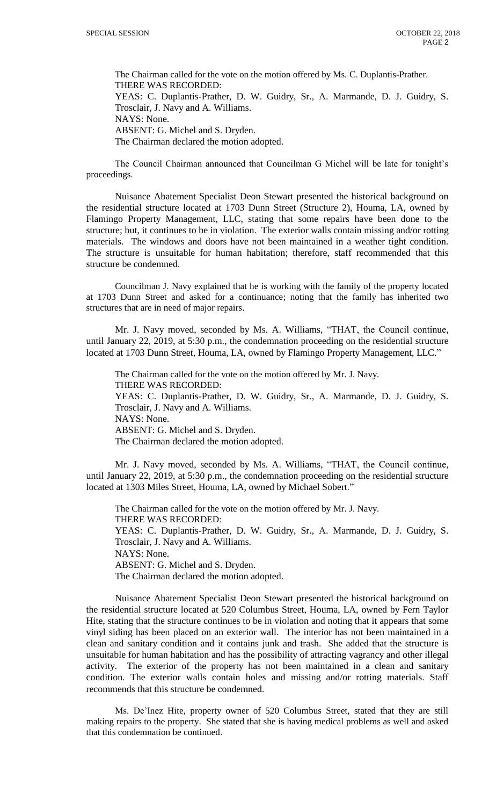The Chairman called for the vote on the motion offered by Ms. C. Duplantis-Prather. THERE WAS RECORDED: YEAS: C. Duplantis-Prather, D. W. Guidry, Sr., A. Marmande, D. J. Guidry, S. Trosclair, J. Navy and A. Williams. NAYS: None. ABSENT: G. Michel and S. Dryden. The Chairman declared the motion adopted.

The Council Chairman announced that Councilman G Michel will be late for tonight's proceedings.

Nuisance Abatement Specialist Deon Stewart presented the historical background on the residential structure located at 1703 Dunn Street (Structure 2), Houma, LA, owned by Flamingo Property Management, LLC, stating that some repairs have been done to the structure; but, it continues to be in violation. The exterior walls contain missing and/or rotting materials. The windows and doors have not been maintained in a weather tight condition. The structure is unsuitable for human habitation; therefore, staff recommended that this structure be condemned.

Councilman J. Navy explained that he is working with the family of the property located at 1703 Dunn Street and asked for a continuance; noting that the family has inherited two structures that are in need of major repairs.

Mr. J. Navy moved, seconded by Ms. A. Williams, "THAT, the Council continue, until January 22, 2019, at 5:30 p.m., the condemnation proceeding on the residential structure located at 1703 Dunn Street, Houma, LA, owned by Flamingo Property Management, LLC."

The Chairman called for the vote on the motion offered by Mr. J. Navy. THERE WAS RECORDED: YEAS: C. Duplantis-Prather, D. W. Guidry, Sr., A. Marmande, D. J. Guidry, S. Trosclair, J. Navy and A. Williams. NAYS: None. ABSENT: G. Michel and S. Dryden. The Chairman declared the motion adopted.

Mr. J. Navy moved, seconded by Ms. A. Williams, "THAT, the Council continue, until January 22, 2019, at 5:30 p.m., the condemnation proceeding on the residential structure located at 1303 Miles Street, Houma, LA, owned by Michael Sobert."

The Chairman called for the vote on the motion offered by Mr. J. Navy. THERE WAS RECORDED: YEAS: C. Duplantis-Prather, D. W. Guidry, Sr., A. Marmande, D. J. Guidry, S. Trosclair, J. Navy and A. Williams. NAYS: None. ABSENT: G. Michel and S. Dryden. The Chairman declared the motion adopted.

Nuisance Abatement Specialist Deon Stewart presented the historical background on the residential structure located at 520 Columbus Street, Houma, LA, owned by Fern Taylor Hite, stating that the structure continues to be in violation and noting that it appears that some vinyl siding has been placed on an exterior wall. The interior has not been maintained in a clean and sanitary condition and it contains junk and trash. She added that the structure is unsuitable for human habitation and has the possibility of attracting vagrancy and other illegal activity. The exterior of the property has not been maintained in a clean and sanitary condition. The exterior walls contain holes and missing and/or rotting materials. Staff recommends that this structure be condemned.

Ms. De'Inez Hite, property owner of 520 Columbus Street, stated that they are still making repairs to the property. She stated that she is having medical problems as well and asked that this condemnation be continued.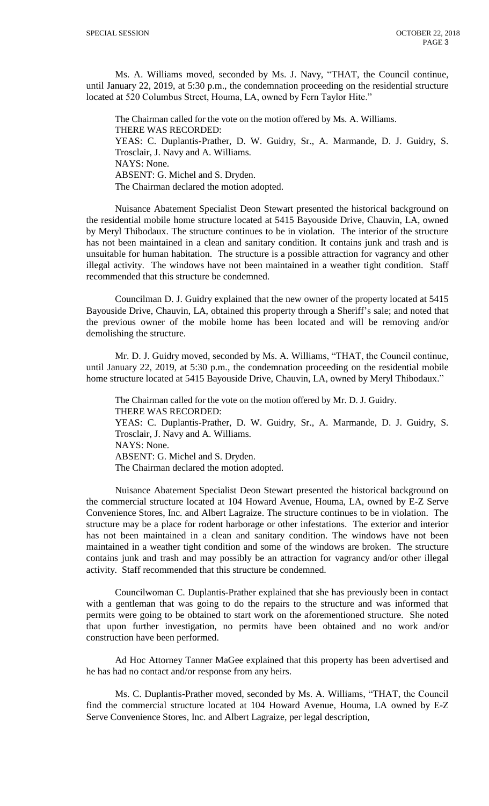Ms. A. Williams moved, seconded by Ms. J. Navy, "THAT, the Council continue, until January 22, 2019, at 5:30 p.m., the condemnation proceeding on the residential structure located at 520 Columbus Street, Houma, LA, owned by Fern Taylor Hite."

The Chairman called for the vote on the motion offered by Ms. A. Williams. THERE WAS RECORDED: YEAS: C. Duplantis-Prather, D. W. Guidry, Sr., A. Marmande, D. J. Guidry, S. Trosclair, J. Navy and A. Williams. NAYS: None. ABSENT: G. Michel and S. Dryden. The Chairman declared the motion adopted.

Nuisance Abatement Specialist Deon Stewart presented the historical background on the residential mobile home structure located at 5415 Bayouside Drive, Chauvin, LA, owned by Meryl Thibodaux. The structure continues to be in violation. The interior of the structure has not been maintained in a clean and sanitary condition. It contains junk and trash and is unsuitable for human habitation. The structure is a possible attraction for vagrancy and other illegal activity. The windows have not been maintained in a weather tight condition. Staff recommended that this structure be condemned.

Councilman D. J. Guidry explained that the new owner of the property located at 5415 Bayouside Drive, Chauvin, LA, obtained this property through a Sheriff's sale; and noted that the previous owner of the mobile home has been located and will be removing and/or demolishing the structure.

Mr. D. J. Guidry moved, seconded by Ms. A. Williams, "THAT, the Council continue, until January 22, 2019, at 5:30 p.m., the condemnation proceeding on the residential mobile home structure located at 5415 Bayouside Drive, Chauvin, LA, owned by Meryl Thibodaux."

The Chairman called for the vote on the motion offered by Mr. D. J. Guidry. THERE WAS RECORDED: YEAS: C. Duplantis-Prather, D. W. Guidry, Sr., A. Marmande, D. J. Guidry, S. Trosclair, J. Navy and A. Williams. NAYS: None. ABSENT: G. Michel and S. Dryden. The Chairman declared the motion adopted.

Nuisance Abatement Specialist Deon Stewart presented the historical background on the commercial structure located at 104 Howard Avenue, Houma, LA, owned by E-Z Serve Convenience Stores, Inc. and Albert Lagraize. The structure continues to be in violation. The structure may be a place for rodent harborage or other infestations. The exterior and interior has not been maintained in a clean and sanitary condition. The windows have not been maintained in a weather tight condition and some of the windows are broken. The structure contains junk and trash and may possibly be an attraction for vagrancy and/or other illegal activity. Staff recommended that this structure be condemned.

Councilwoman C. Duplantis-Prather explained that she has previously been in contact with a gentleman that was going to do the repairs to the structure and was informed that permits were going to be obtained to start work on the aforementioned structure. She noted that upon further investigation, no permits have been obtained and no work and/or construction have been performed.

Ad Hoc Attorney Tanner MaGee explained that this property has been advertised and he has had no contact and/or response from any heirs.

Ms. C. Duplantis-Prather moved, seconded by Ms. A. Williams, "THAT, the Council find the commercial structure located at 104 Howard Avenue, Houma, LA owned by E-Z Serve Convenience Stores, Inc. and Albert Lagraize, per legal description,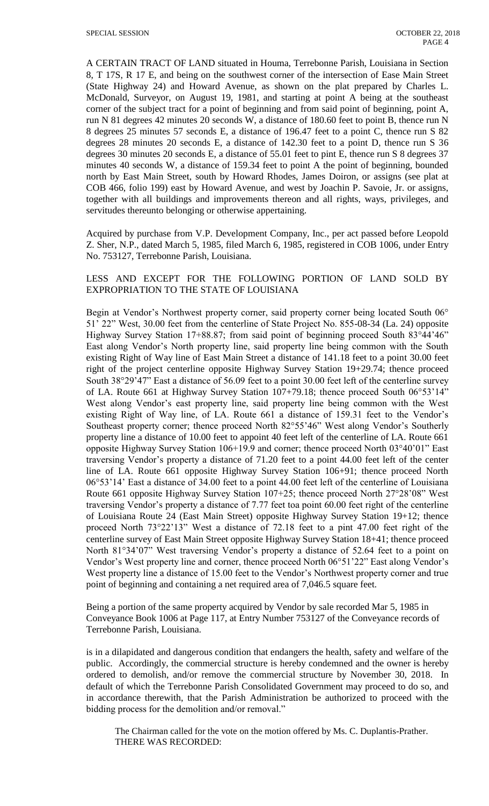A CERTAIN TRACT OF LAND situated in Houma, Terrebonne Parish, Louisiana in Section 8, T 17S, R 17 E, and being on the southwest corner of the intersection of Ease Main Street (State Highway 24) and Howard Avenue, as shown on the plat prepared by Charles L. McDonald, Surveyor, on August 19, 1981, and starting at point A being at the southeast corner of the subject tract for a point of beginning and from said point of beginning, point A, run N 81 degrees 42 minutes 20 seconds W, a distance of 180.60 feet to point B, thence run N 8 degrees 25 minutes 57 seconds E, a distance of 196.47 feet to a point C, thence run S 82 degrees 28 minutes 20 seconds E, a distance of 142.30 feet to a point D, thence run S 36 degrees 30 minutes 20 seconds E, a distance of 55.01 feet to pint E, thence run S 8 degrees 37 minutes 40 seconds W, a distance of 159.34 feet to point A the point of beginning, bounded north by East Main Street, south by Howard Rhodes, James Doiron, or assigns (see plat at COB 466, folio 199) east by Howard Avenue, and west by Joachin P. Savoie, Jr. or assigns, together with all buildings and improvements thereon and all rights, ways, privileges, and servitudes thereunto belonging or otherwise appertaining.

Acquired by purchase from V.P. Development Company, Inc., per act passed before Leopold Z. Sher, N.P., dated March 5, 1985, filed March 6, 1985, registered in COB 1006, under Entry No. 753127, Terrebonne Parish, Louisiana.

# LESS AND EXCEPT FOR THE FOLLOWING PORTION OF LAND SOLD BY EXPROPRIATION TO THE STATE OF LOUISIANA

Begin at Vendor's Northwest property corner, said property corner being located South 06° 51' 22" West, 30.00 feet from the centerline of State Project No. 855-08-34 (La. 24) opposite Highway Survey Station 17+88.87; from said point of beginning proceed South 83°44'46" East along Vendor's North property line, said property line being common with the South existing Right of Way line of East Main Street a distance of 141.18 feet to a point 30.00 feet right of the project centerline opposite Highway Survey Station 19+29.74; thence proceed South 38°29'47" East a distance of 56.09 feet to a point 30.00 feet left of the centerline survey of LA. Route 661 at Highway Survey Station 107+79.18; thence proceed South 06°53'14" West along Vendor's east property line, said property line being common with the West existing Right of Way line, of LA. Route 661 a distance of 159.31 feet to the Vendor's Southeast property corner; thence proceed North 82°55'46" West along Vendor's Southerly property line a distance of 10.00 feet to appoint 40 feet left of the centerline of LA. Route 661 opposite Highway Survey Station 106+19.9 and corner; thence proceed North 03°40'01" East traversing Vendor's property a distance of 71.20 feet to a point 44.00 feet left of the center line of LA. Route 661 opposite Highway Survey Station 106+91; thence proceed North 06°53'14' East a distance of 34.00 feet to a point 44.00 feet left of the centerline of Louisiana Route 661 opposite Highway Survey Station 107+25; thence proceed North 27°28'08" West traversing Vendor's property a distance of 7.77 feet toa point 60.00 feet right of the centerline of Louisiana Route 24 (East Main Street) opposite Highway Survey Station 19+12; thence proceed North 73°22'13" West a distance of 72.18 feet to a pint 47.00 feet right of the centerline survey of East Main Street opposite Highway Survey Station 18+41; thence proceed North 81°34'07" West traversing Vendor's property a distance of 52.64 feet to a point on Vendor's West property line and corner, thence proceed North 06°51'22" East along Vendor's West property line a distance of 15.00 feet to the Vendor's Northwest property corner and true point of beginning and containing a net required area of 7,046.5 square feet.

Being a portion of the same property acquired by Vendor by sale recorded Mar 5, 1985 in Conveyance Book 1006 at Page 117, at Entry Number 753127 of the Conveyance records of Terrebonne Parish, Louisiana.

is in a dilapidated and dangerous condition that endangers the health, safety and welfare of the public. Accordingly, the commercial structure is hereby condemned and the owner is hereby ordered to demolish, and/or remove the commercial structure by November 30, 2018. In default of which the Terrebonne Parish Consolidated Government may proceed to do so, and in accordance therewith, that the Parish Administration be authorized to proceed with the bidding process for the demolition and/or removal."

The Chairman called for the vote on the motion offered by Ms. C. Duplantis-Prather. THERE WAS RECORDED: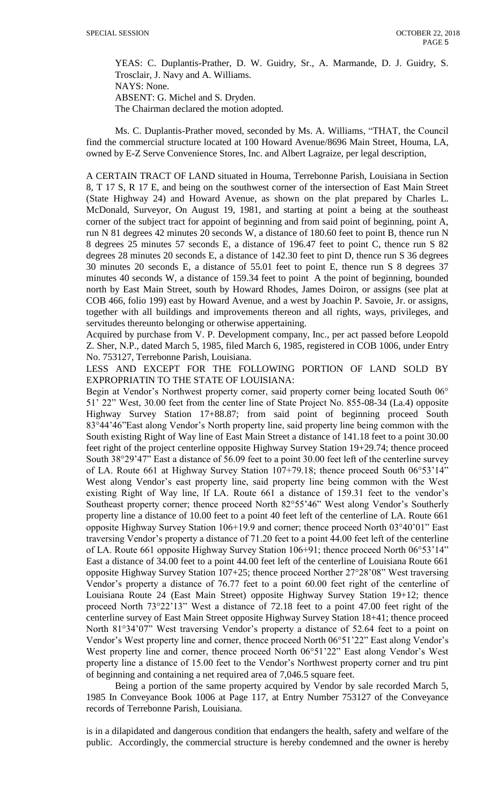YEAS: C. Duplantis-Prather, D. W. Guidry, Sr., A. Marmande, D. J. Guidry, S. Trosclair, J. Navy and A. Williams. NAYS: None.

ABSENT: G. Michel and S. Dryden.

The Chairman declared the motion adopted.

Ms. C. Duplantis-Prather moved, seconded by Ms. A. Williams, "THAT, the Council find the commercial structure located at 100 Howard Avenue/8696 Main Street, Houma, LA, owned by E-Z Serve Convenience Stores, Inc. and Albert Lagraize, per legal description,

A CERTAIN TRACT OF LAND situated in Houma, Terrebonne Parish, Louisiana in Section 8, T 17 S, R 17 E, and being on the southwest corner of the intersection of East Main Street (State Highway 24) and Howard Avenue, as shown on the plat prepared by Charles L. McDonald, Surveyor, On August 19, 1981, and starting at point a being at the southeast corner of the subject tract for appoint of beginning and from said point of beginning, point A, run N 81 degrees 42 minutes 20 seconds W, a distance of 180.60 feet to point B, thence run N 8 degrees 25 minutes 57 seconds E, a distance of 196.47 feet to point C, thence run S 82 degrees 28 minutes 20 seconds E, a distance of 142.30 feet to pint D, thence run S 36 degrees 30 minutes 20 seconds E, a distance of 55.01 feet to point E, thence run S 8 degrees 37 minutes 40 seconds W, a distance of 159.34 feet to point A the point of beginning, bounded north by East Main Street, south by Howard Rhodes, James Doiron, or assigns (see plat at COB 466, folio 199) east by Howard Avenue, and a west by Joachin P. Savoie, Jr. or assigns, together with all buildings and improvements thereon and all rights, ways, privileges, and servitudes thereunto belonging or otherwise appertaining.

Acquired by purchase from V. P. Development company, Inc., per act passed before Leopold Z. Sher, N.P., dated March 5, 1985, filed March 6, 1985, registered in COB 1006, under Entry No. 753127, Terrebonne Parish, Louisiana.

LESS AND EXCEPT FOR THE FOLLOWING PORTION OF LAND SOLD BY EXPROPRIATIN TO THE STATE OF LOUISIANA:

Begin at Vendor's Northwest property corner, said property corner being located South 06° 51' 22" West, 30.00 feet from the center line of State Project No. 855-08-34 (La.4) opposite Highway Survey Station 17+88.87; from said point of beginning proceed South 83°44'46"East along Vendor's North property line, said property line being common with the South existing Right of Way line of East Main Street a distance of 141.18 feet to a point 30.00 feet right of the project centerline opposite Highway Survey Station 19+29.74; thence proceed South 38°29'47" East a distance of 56.09 feet to a point 30.00 feet left of the centerline survey of LA. Route 661 at Highway Survey Station 107+79.18; thence proceed South 06°53'14" West along Vendor's east property line, said property line being common with the West existing Right of Way line, lf LA. Route 661 a distance of 159.31 feet to the vendor's Southeast property corner; thence proceed North 82°55'46" West along Vendor's Southerly property line a distance of 10.00 feet to a point 40 feet left of the centerline of LA. Route 661 opposite Highway Survey Station 106+19.9 and corner; thence proceed North 03°40'01" East traversing Vendor's property a distance of 71.20 feet to a point 44.00 feet left of the centerline of LA. Route 661 opposite Highway Survey Station 106+91; thence proceed North 06°53'14" East a distance of 34.00 feet to a point 44.00 feet left of the centerline of Louisiana Route 661 opposite Highway Survey Station 107+25; thence proceed Norther 27°28'08" West traversing Vendor's property a distance of 76.77 feet to a point 60.00 feet right of the centerline of Louisiana Route 24 (East Main Street) opposite Highway Survey Station 19+12; thence proceed North 73°22'13" West a distance of 72.18 feet to a point 47.00 feet right of the centerline survey of East Main Street opposite Highway Survey Station 18+41; thence proceed North 81°34'07" West traversing Vendor's property a distance of 52.64 feet to a point on Vendor's West property line and corner, thence proceed North 06°51'22" East along Vendor's West property line and corner, thence proceed North 06°51'22" East along Vendor's West property line a distance of 15.00 feet to the Vendor's Northwest property corner and tru pint of beginning and containing a net required area of 7,046.5 square feet.

Being a portion of the same property acquired by Vendor by sale recorded March 5, 1985 In Conveyance Book 1006 at Page 117, at Entry Number 753127 of the Conveyance records of Terrebonne Parish, Louisiana.

is in a dilapidated and dangerous condition that endangers the health, safety and welfare of the public. Accordingly, the commercial structure is hereby condemned and the owner is hereby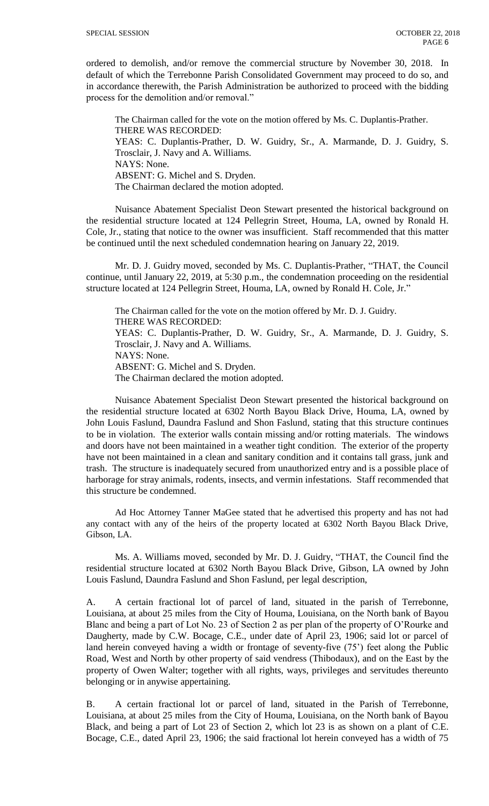ordered to demolish, and/or remove the commercial structure by November 30, 2018. In default of which the Terrebonne Parish Consolidated Government may proceed to do so, and in accordance therewith, the Parish Administration be authorized to proceed with the bidding process for the demolition and/or removal."

The Chairman called for the vote on the motion offered by Ms. C. Duplantis-Prather. THERE WAS RECORDED: YEAS: C. Duplantis-Prather, D. W. Guidry, Sr., A. Marmande, D. J. Guidry, S. Trosclair, J. Navy and A. Williams. NAYS: None. ABSENT: G. Michel and S. Dryden. The Chairman declared the motion adopted.

Nuisance Abatement Specialist Deon Stewart presented the historical background on the residential structure located at 124 Pellegrin Street, Houma, LA, owned by Ronald H. Cole, Jr., stating that notice to the owner was insufficient. Staff recommended that this matter be continued until the next scheduled condemnation hearing on January 22, 2019.

Mr. D. J. Guidry moved, seconded by Ms. C. Duplantis-Prather, "THAT, the Council continue, until January 22, 2019, at 5:30 p.m., the condemnation proceeding on the residential structure located at 124 Pellegrin Street, Houma, LA, owned by Ronald H. Cole, Jr."

The Chairman called for the vote on the motion offered by Mr. D. J. Guidry. THERE WAS RECORDED: YEAS: C. Duplantis-Prather, D. W. Guidry, Sr., A. Marmande, D. J. Guidry, S. Trosclair, J. Navy and A. Williams. NAYS: None. ABSENT: G. Michel and S. Dryden. The Chairman declared the motion adopted.

Nuisance Abatement Specialist Deon Stewart presented the historical background on the residential structure located at 6302 North Bayou Black Drive, Houma, LA, owned by John Louis Faslund, Daundra Faslund and Shon Faslund, stating that this structure continues to be in violation. The exterior walls contain missing and/or rotting materials. The windows and doors have not been maintained in a weather tight condition. The exterior of the property have not been maintained in a clean and sanitary condition and it contains tall grass, junk and trash. The structure is inadequately secured from unauthorized entry and is a possible place of harborage for stray animals, rodents, insects, and vermin infestations. Staff recommended that this structure be condemned.

Ad Hoc Attorney Tanner MaGee stated that he advertised this property and has not had any contact with any of the heirs of the property located at 6302 North Bayou Black Drive, Gibson, LA.

Ms. A. Williams moved, seconded by Mr. D. J. Guidry, "THAT, the Council find the residential structure located at 6302 North Bayou Black Drive, Gibson, LA owned by John Louis Faslund, Daundra Faslund and Shon Faslund, per legal description,

A. A certain fractional lot of parcel of land, situated in the parish of Terrebonne, Louisiana, at about 25 miles from the City of Houma, Louisiana, on the North bank of Bayou Blanc and being a part of Lot No. 23 of Section 2 as per plan of the property of O'Rourke and Daugherty, made by C.W. Bocage, C.E., under date of April 23, 1906; said lot or parcel of land herein conveyed having a width or frontage of seventy-five (75') feet along the Public Road, West and North by other property of said vendress (Thibodaux), and on the East by the property of Owen Walter; together with all rights, ways, privileges and servitudes thereunto belonging or in anywise appertaining.

B. A certain fractional lot or parcel of land, situated in the Parish of Terrebonne, Louisiana, at about 25 miles from the City of Houma, Louisiana, on the North bank of Bayou Black, and being a part of Lot 23 of Section 2, which lot 23 is as shown on a plant of C.E. Bocage, C.E., dated April 23, 1906; the said fractional lot herein conveyed has a width of 75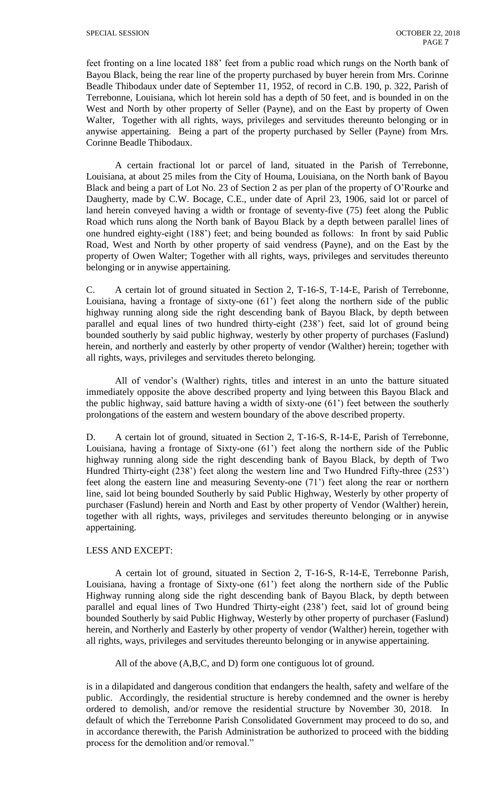feet fronting on a line located 188' feet from a public road which rungs on the North bank of Bayou Black, being the rear line of the property purchased by buyer herein from Mrs. Corinne Beadle Thibodaux under date of September 11, 1952, of record in C.B. 190, p. 322, Parish of Terrebonne, Louisiana, which lot herein sold has a depth of 50 feet, and is bounded in on the West and North by other property of Seller (Payne), and on the East by property of Owen Walter, Together with all rights, ways, privileges and servitudes thereunto belonging or in anywise appertaining. Being a part of the property purchased by Seller (Payne) from Mrs. Corinne Beadle Thibodaux.

A certain fractional lot or parcel of land, situated in the Parish of Terrebonne, Louisiana, at about 25 miles from the City of Houma, Louisiana, on the North bank of Bayou Black and being a part of Lot No. 23 of Section 2 as per plan of the property of O'Rourke and Daugherty, made by C.W. Bocage, C.E., under date of April 23, 1906, said lot or parcel of land herein conveyed having a width or frontage of seventy-five (75) feet along the Public Road which runs along the North bank of Bayou Black by a depth between parallel lines of one hundred eighty-eight (188') feet; and being bounded as follows: In front by said Public Road, West and North by other property of said vendress (Payne), and on the East by the property of Owen Walter; Together with all rights, ways, privileges and servitudes thereunto belonging or in anywise appertaining.

C. A certain lot of ground situated in Section 2, T-16-S, T-14-E, Parish of Terrebonne, Louisiana, having a frontage of sixty-one (61') feet along the northern side of the public highway running along side the right descending bank of Bayou Black, by depth between parallel and equal lines of two hundred thirty-eight (238') feet, said lot of ground being bounded southerly by said public highway, westerly by other property of purchases (Faslund) herein, and northerly and easterly by other property of vendor (Walther) herein; together with all rights, ways, privileges and servitudes thereto belonging.

All of vendor's (Walther) rights, titles and interest in an unto the batture situated immediately opposite the above described property and lying between this Bayou Black and the public highway, said batture having a width of sixty-one (61') feet between the southerly prolongations of the eastern and western boundary of the above described property.

D. A certain lot of ground, situated in Section 2, T-16-S, R-14-E, Parish of Terrebonne, Louisiana, having a frontage of Sixty-one (61') feet along the northern side of the Public highway running along side the right descending bank of Bayou Black, by depth of Two Hundred Thirty-eight (238') feet along the western line and Two Hundred Fifty-three (253') feet along the eastern line and measuring Seventy-one (71') feet along the rear or northern line, said lot being bounded Southerly by said Public Highway, Westerly by other property of purchaser (Faslund) herein and North and East by other property of Vendor (Walther) herein, together with all rights, ways, privileges and servitudes thereunto belonging or in anywise appertaining.

## LESS AND EXCEPT:

A certain lot of ground, situated in Section 2, T-16-S, R-14-E, Terrebonne Parish, Louisiana, having a frontage of Sixty-one (61') feet along the northern side of the Public Highway running along side the right descending bank of Bayou Black, by depth between parallel and equal lines of Two Hundred Thirty-eight (238') feet, said lot of ground being bounded Southerly by said Public Highway, Westerly by other property of purchaser (Faslund) herein, and Northerly and Easterly by other property of vendor (Walther) herein, together with all rights, ways, privileges and servitudes thereunto belonging or in anywise appertaining.

All of the above (A,B,C, and D) form one contiguous lot of ground.

is in a dilapidated and dangerous condition that endangers the health, safety and welfare of the public. Accordingly, the residential structure is hereby condemned and the owner is hereby ordered to demolish, and/or remove the residential structure by November 30, 2018. In default of which the Terrebonne Parish Consolidated Government may proceed to do so, and in accordance therewith, the Parish Administration be authorized to proceed with the bidding process for the demolition and/or removal."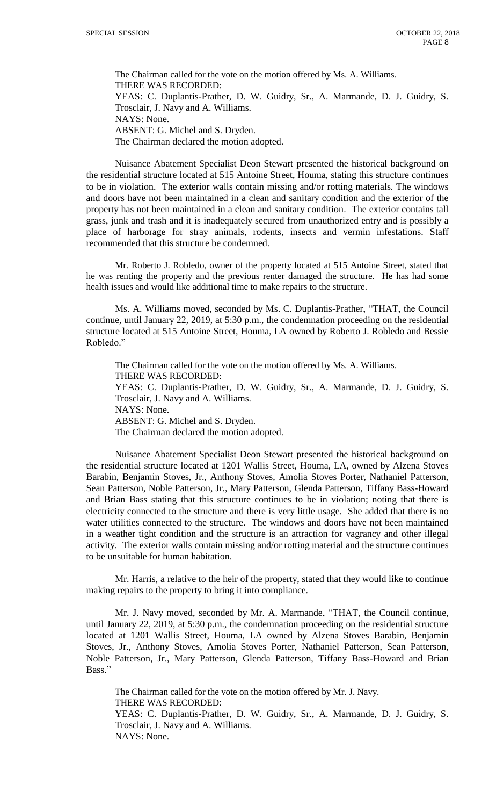The Chairman called for the vote on the motion offered by Ms. A. Williams. THERE WAS RECORDED: YEAS: C. Duplantis-Prather, D. W. Guidry, Sr., A. Marmande, D. J. Guidry, S. Trosclair, J. Navy and A. Williams. NAYS: None. ABSENT: G. Michel and S. Dryden. The Chairman declared the motion adopted.

Nuisance Abatement Specialist Deon Stewart presented the historical background on the residential structure located at 515 Antoine Street, Houma, stating this structure continues to be in violation. The exterior walls contain missing and/or rotting materials. The windows and doors have not been maintained in a clean and sanitary condition and the exterior of the property has not been maintained in a clean and sanitary condition. The exterior contains tall grass, junk and trash and it is inadequately secured from unauthorized entry and is possibly a place of harborage for stray animals, rodents, insects and vermin infestations. Staff recommended that this structure be condemned.

Mr. Roberto J. Robledo, owner of the property located at 515 Antoine Street, stated that he was renting the property and the previous renter damaged the structure. He has had some health issues and would like additional time to make repairs to the structure.

Ms. A. Williams moved, seconded by Ms. C. Duplantis-Prather, "THAT, the Council continue, until January 22, 2019, at 5:30 p.m., the condemnation proceeding on the residential structure located at 515 Antoine Street, Houma, LA owned by Roberto J. Robledo and Bessie Robledo."

The Chairman called for the vote on the motion offered by Ms. A. Williams. THERE WAS RECORDED: YEAS: C. Duplantis-Prather, D. W. Guidry, Sr., A. Marmande, D. J. Guidry, S. Trosclair, J. Navy and A. Williams. NAYS: None. ABSENT: G. Michel and S. Dryden. The Chairman declared the motion adopted.

Nuisance Abatement Specialist Deon Stewart presented the historical background on the residential structure located at 1201 Wallis Street, Houma, LA, owned by Alzena Stoves Barabin, Benjamin Stoves, Jr., Anthony Stoves, Amolia Stoves Porter, Nathaniel Patterson, Sean Patterson, Noble Patterson, Jr., Mary Patterson, Glenda Patterson, Tiffany Bass-Howard and Brian Bass stating that this structure continues to be in violation; noting that there is electricity connected to the structure and there is very little usage. She added that there is no water utilities connected to the structure. The windows and doors have not been maintained in a weather tight condition and the structure is an attraction for vagrancy and other illegal activity. The exterior walls contain missing and/or rotting material and the structure continues to be unsuitable for human habitation.

Mr. Harris, a relative to the heir of the property, stated that they would like to continue making repairs to the property to bring it into compliance.

Mr. J. Navy moved, seconded by Mr. A. Marmande, "THAT, the Council continue, until January 22, 2019, at 5:30 p.m., the condemnation proceeding on the residential structure located at 1201 Wallis Street, Houma, LA owned by Alzena Stoves Barabin, Benjamin Stoves, Jr., Anthony Stoves, Amolia Stoves Porter, Nathaniel Patterson, Sean Patterson, Noble Patterson, Jr., Mary Patterson, Glenda Patterson, Tiffany Bass-Howard and Brian Bass."

The Chairman called for the vote on the motion offered by Mr. J. Navy. THERE WAS RECORDED: YEAS: C. Duplantis-Prather, D. W. Guidry, Sr., A. Marmande, D. J. Guidry, S. Trosclair, J. Navy and A. Williams. NAYS: None.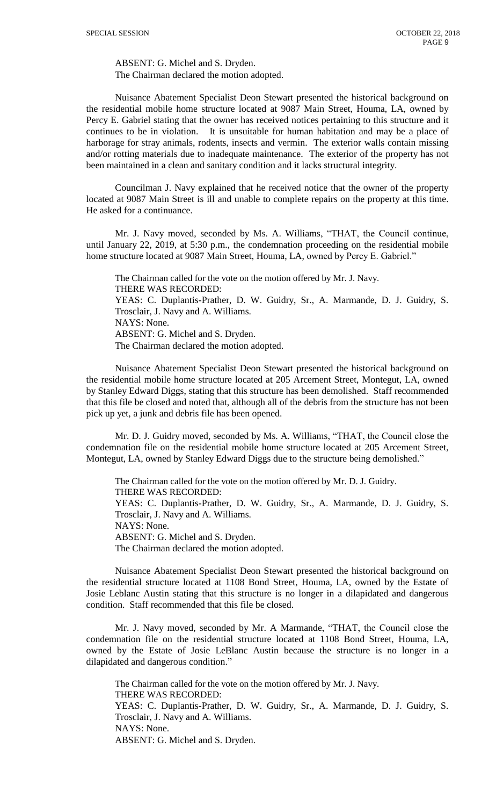ABSENT: G. Michel and S. Dryden. The Chairman declared the motion adopted.

Nuisance Abatement Specialist Deon Stewart presented the historical background on the residential mobile home structure located at 9087 Main Street, Houma, LA, owned by Percy E. Gabriel stating that the owner has received notices pertaining to this structure and it continues to be in violation. It is unsuitable for human habitation and may be a place of harborage for stray animals, rodents, insects and vermin. The exterior walls contain missing and/or rotting materials due to inadequate maintenance. The exterior of the property has not been maintained in a clean and sanitary condition and it lacks structural integrity.

Councilman J. Navy explained that he received notice that the owner of the property located at 9087 Main Street is ill and unable to complete repairs on the property at this time. He asked for a continuance.

Mr. J. Navy moved, seconded by Ms. A. Williams, "THAT, the Council continue, until January 22, 2019, at 5:30 p.m., the condemnation proceeding on the residential mobile home structure located at 9087 Main Street, Houma, LA, owned by Percy E. Gabriel."

The Chairman called for the vote on the motion offered by Mr. J. Navy. THERE WAS RECORDED: YEAS: C. Duplantis-Prather, D. W. Guidry, Sr., A. Marmande, D. J. Guidry, S. Trosclair, J. Navy and A. Williams. NAYS: None. ABSENT: G. Michel and S. Dryden. The Chairman declared the motion adopted.

Nuisance Abatement Specialist Deon Stewart presented the historical background on the residential mobile home structure located at 205 Arcement Street, Montegut, LA, owned by Stanley Edward Diggs, stating that this structure has been demolished. Staff recommended that this file be closed and noted that, although all of the debris from the structure has not been pick up yet, a junk and debris file has been opened.

Mr. D. J. Guidry moved, seconded by Ms. A. Williams, "THAT, the Council close the condemnation file on the residential mobile home structure located at 205 Arcement Street, Montegut, LA, owned by Stanley Edward Diggs due to the structure being demolished."

The Chairman called for the vote on the motion offered by Mr. D. J. Guidry. THERE WAS RECORDED: YEAS: C. Duplantis-Prather, D. W. Guidry, Sr., A. Marmande, D. J. Guidry, S. Trosclair, J. Navy and A. Williams. NAYS: None. ABSENT: G. Michel and S. Dryden. The Chairman declared the motion adopted.

Nuisance Abatement Specialist Deon Stewart presented the historical background on the residential structure located at 1108 Bond Street, Houma, LA, owned by the Estate of Josie Leblanc Austin stating that this structure is no longer in a dilapidated and dangerous condition. Staff recommended that this file be closed.

Mr. J. Navy moved, seconded by Mr. A Marmande, "THAT, the Council close the condemnation file on the residential structure located at 1108 Bond Street, Houma, LA, owned by the Estate of Josie LeBlanc Austin because the structure is no longer in a dilapidated and dangerous condition."

The Chairman called for the vote on the motion offered by Mr. J. Navy. THERE WAS RECORDED: YEAS: C. Duplantis-Prather, D. W. Guidry, Sr., A. Marmande, D. J. Guidry, S. Trosclair, J. Navy and A. Williams. NAYS: None. ABSENT: G. Michel and S. Dryden.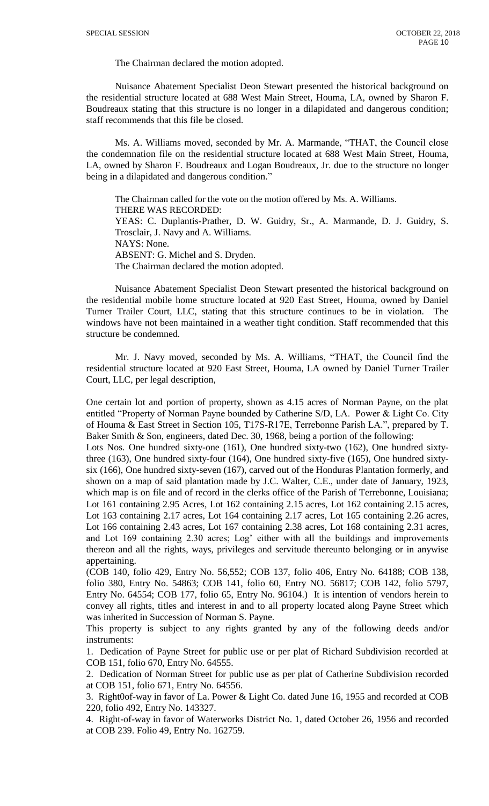The Chairman declared the motion adopted.

Nuisance Abatement Specialist Deon Stewart presented the historical background on the residential structure located at 688 West Main Street, Houma, LA, owned by Sharon F. Boudreaux stating that this structure is no longer in a dilapidated and dangerous condition; staff recommends that this file be closed.

Ms. A. Williams moved, seconded by Mr. A. Marmande, "THAT, the Council close the condemnation file on the residential structure located at 688 West Main Street, Houma, LA, owned by Sharon F. Boudreaux and Logan Boudreaux, Jr. due to the structure no longer being in a dilapidated and dangerous condition."

The Chairman called for the vote on the motion offered by Ms. A. Williams. THERE WAS RECORDED: YEAS: C. Duplantis-Prather, D. W. Guidry, Sr., A. Marmande, D. J. Guidry, S. Trosclair, J. Navy and A. Williams. NAYS: None. ABSENT: G. Michel and S. Dryden. The Chairman declared the motion adopted.

Nuisance Abatement Specialist Deon Stewart presented the historical background on the residential mobile home structure located at 920 East Street, Houma, owned by Daniel Turner Trailer Court, LLC, stating that this structure continues to be in violation. The windows have not been maintained in a weather tight condition. Staff recommended that this structure be condemned.

Mr. J. Navy moved, seconded by Ms. A. Williams, "THAT, the Council find the residential structure located at 920 East Street, Houma, LA owned by Daniel Turner Trailer Court, LLC, per legal description,

One certain lot and portion of property, shown as 4.15 acres of Norman Payne, on the plat entitled "Property of Norman Payne bounded by Catherine S/D, LA. Power & Light Co. City of Houma & East Street in Section 105, T17S-R17E, Terrebonne Parish LA.", prepared by T. Baker Smith & Son, engineers, dated Dec. 30, 1968, being a portion of the following:

Lots Nos. One hundred sixty-one (161), One hundred sixty-two (162), One hundred sixtythree (163), One hundred sixty-four (164), One hundred sixty-five (165), One hundred sixtysix (166), One hundred sixty-seven (167), carved out of the Honduras Plantation formerly, and shown on a map of said plantation made by J.C. Walter, C.E., under date of January, 1923, which map is on file and of record in the clerks office of the Parish of Terrebonne, Louisiana; Lot 161 containing 2.95 Acres, Lot 162 containing 2.15 acres, Lot 162 containing 2.15 acres, Lot 163 containing 2.17 acres, Lot 164 containing 2.17 acres, Lot 165 containing 2.26 acres, Lot 166 containing 2.43 acres, Lot 167 containing 2.38 acres, Lot 168 containing 2.31 acres, and Lot 169 containing 2.30 acres; Log' either with all the buildings and improvements thereon and all the rights, ways, privileges and servitude thereunto belonging or in anywise appertaining.

(COB 140, folio 429, Entry No. 56,552; COB 137, folio 406, Entry No. 64188; COB 138, folio 380, Entry No. 54863; COB 141, folio 60, Entry NO. 56817; COB 142, folio 5797, Entry No. 64554; COB 177, folio 65, Entry No. 96104.) It is intention of vendors herein to convey all rights, titles and interest in and to all property located along Payne Street which was inherited in Succession of Norman S. Payne.

This property is subject to any rights granted by any of the following deeds and/or instruments:

1. Dedication of Payne Street for public use or per plat of Richard Subdivision recorded at COB 151, folio 670, Entry No. 64555.

2. Dedication of Norman Street for public use as per plat of Catherine Subdivision recorded at COB 151, folio 671, Entry No. 64556.

3. Right0of-way in favor of La. Power & Light Co. dated June 16, 1955 and recorded at COB 220, folio 492, Entry No. 143327.

4. Right-of-way in favor of Waterworks District No. 1, dated October 26, 1956 and recorded at COB 239. Folio 49, Entry No. 162759.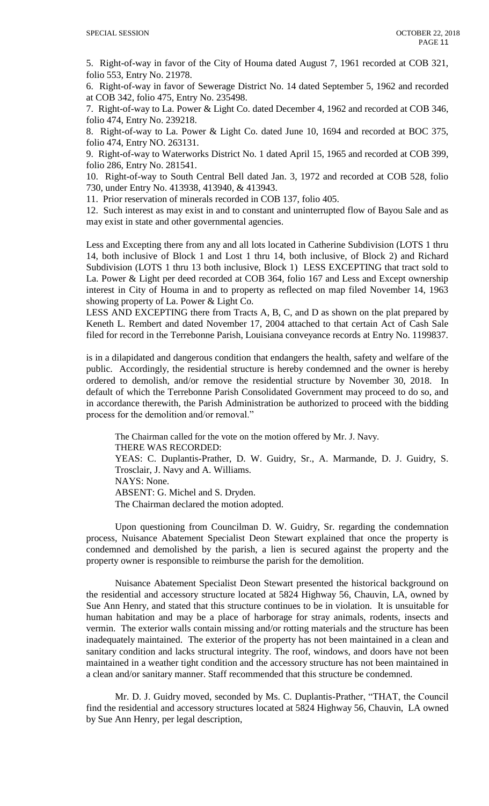5. Right-of-way in favor of the City of Houma dated August 7, 1961 recorded at COB 321, folio 553, Entry No. 21978.

6. Right-of-way in favor of Sewerage District No. 14 dated September 5, 1962 and recorded at COB 342, folio 475, Entry No. 235498.

7. Right-of-way to La. Power & Light Co. dated December 4, 1962 and recorded at COB 346, folio 474, Entry No. 239218.

8. Right-of-way to La. Power & Light Co. dated June 10, 1694 and recorded at BOC 375, folio 474, Entry NO. 263131.

9. Right-of-way to Waterworks District No. 1 dated April 15, 1965 and recorded at COB 399, folio 286, Entry No. 281541.

10. Right-of-way to South Central Bell dated Jan. 3, 1972 and recorded at COB 528, folio 730, under Entry No. 413938, 413940, & 413943.

11. Prior reservation of minerals recorded in COB 137, folio 405.

12. Such interest as may exist in and to constant and uninterrupted flow of Bayou Sale and as may exist in state and other governmental agencies.

Less and Excepting there from any and all lots located in Catherine Subdivision (LOTS 1 thru 14, both inclusive of Block 1 and Lost 1 thru 14, both inclusive, of Block 2) and Richard Subdivision (LOTS 1 thru 13 both inclusive, Block 1) LESS EXCEPTING that tract sold to La. Power & Light per deed recorded at COB 364, folio 167 and Less and Except ownership interest in City of Houma in and to property as reflected on map filed November 14, 1963 showing property of La. Power & Light Co.

LESS AND EXCEPTING there from Tracts A, B, C, and D as shown on the plat prepared by Keneth L. Rembert and dated November 17, 2004 attached to that certain Act of Cash Sale filed for record in the Terrebonne Parish, Louisiana conveyance records at Entry No. 1199837.

is in a dilapidated and dangerous condition that endangers the health, safety and welfare of the public. Accordingly, the residential structure is hereby condemned and the owner is hereby ordered to demolish, and/or remove the residential structure by November 30, 2018. In default of which the Terrebonne Parish Consolidated Government may proceed to do so, and in accordance therewith, the Parish Administration be authorized to proceed with the bidding process for the demolition and/or removal."

The Chairman called for the vote on the motion offered by Mr. J. Navy. THERE WAS RECORDED: YEAS: C. Duplantis-Prather, D. W. Guidry, Sr., A. Marmande, D. J. Guidry, S. Trosclair, J. Navy and A. Williams. NAYS: None. ABSENT: G. Michel and S. Dryden. The Chairman declared the motion adopted.

Upon questioning from Councilman D. W. Guidry, Sr. regarding the condemnation process, Nuisance Abatement Specialist Deon Stewart explained that once the property is condemned and demolished by the parish, a lien is secured against the property and the property owner is responsible to reimburse the parish for the demolition.

Nuisance Abatement Specialist Deon Stewart presented the historical background on the residential and accessory structure located at 5824 Highway 56, Chauvin, LA, owned by Sue Ann Henry, and stated that this structure continues to be in violation. It is unsuitable for human habitation and may be a place of harborage for stray animals, rodents, insects and vermin. The exterior walls contain missing and/or rotting materials and the structure has been inadequately maintained. The exterior of the property has not been maintained in a clean and sanitary condition and lacks structural integrity. The roof, windows, and doors have not been maintained in a weather tight condition and the accessory structure has not been maintained in a clean and/or sanitary manner. Staff recommended that this structure be condemned.

Mr. D. J. Guidry moved, seconded by Ms. C. Duplantis-Prather, "THAT, the Council find the residential and accessory structures located at 5824 Highway 56, Chauvin, LA owned by Sue Ann Henry, per legal description,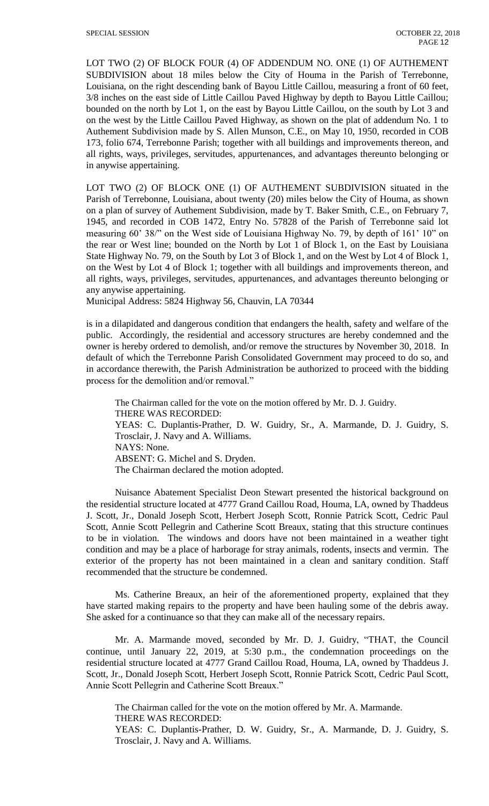LOT TWO (2) OF BLOCK FOUR (4) OF ADDENDUM NO. ONE (1) OF AUTHEMENT SUBDIVISION about 18 miles below the City of Houma in the Parish of Terrebonne, Louisiana, on the right descending bank of Bayou Little Caillou, measuring a front of 60 feet, 3/8 inches on the east side of Little Caillou Paved Highway by depth to Bayou Little Caillou; bounded on the north by Lot 1, on the east by Bayou Little Caillou, on the south by Lot 3 and on the west by the Little Caillou Paved Highway, as shown on the plat of addendum No. 1 to Authement Subdivision made by S. Allen Munson, C.E., on May 10, 1950, recorded in COB 173, folio 674, Terrebonne Parish; together with all buildings and improvements thereon, and all rights, ways, privileges, servitudes, appurtenances, and advantages thereunto belonging or in anywise appertaining.

LOT TWO (2) OF BLOCK ONE (1) OF AUTHEMENT SUBDIVISION situated in the Parish of Terrebonne, Louisiana, about twenty (20) miles below the City of Houma, as shown on a plan of survey of Authement Subdivision, made by T. Baker Smith, C.E., on February 7, 1945, and recorded in COB 1472, Entry No. 57828 of the Parish of Terrebonne said lot measuring 60' 38/" on the West side of Louisiana Highway No. 79, by depth of 161' 10" on the rear or West line; bounded on the North by Lot 1 of Block 1, on the East by Louisiana State Highway No. 79, on the South by Lot 3 of Block 1, and on the West by Lot 4 of Block 1, on the West by Lot 4 of Block 1; together with all buildings and improvements thereon, and all rights, ways, privileges, servitudes, appurtenances, and advantages thereunto belonging or any anywise appertaining.

Municipal Address: 5824 Highway 56, Chauvin, LA 70344

is in a dilapidated and dangerous condition that endangers the health, safety and welfare of the public. Accordingly, the residential and accessory structures are hereby condemned and the owner is hereby ordered to demolish, and/or remove the structures by November 30, 2018. In default of which the Terrebonne Parish Consolidated Government may proceed to do so, and in accordance therewith, the Parish Administration be authorized to proceed with the bidding process for the demolition and/or removal."

The Chairman called for the vote on the motion offered by Mr. D. J. Guidry. THERE WAS RECORDED: YEAS: C. Duplantis-Prather, D. W. Guidry, Sr., A. Marmande, D. J. Guidry, S. Trosclair, J. Navy and A. Williams. NAYS: None. ABSENT: G. Michel and S. Dryden. The Chairman declared the motion adopted.

Nuisance Abatement Specialist Deon Stewart presented the historical background on the residential structure located at 4777 Grand Caillou Road, Houma, LA, owned by Thaddeus J. Scott, Jr., Donald Joseph Scott, Herbert Joseph Scott, Ronnie Patrick Scott, Cedric Paul Scott, Annie Scott Pellegrin and Catherine Scott Breaux, stating that this structure continues to be in violation. The windows and doors have not been maintained in a weather tight condition and may be a place of harborage for stray animals, rodents, insects and vermin. The exterior of the property has not been maintained in a clean and sanitary condition. Staff recommended that the structure be condemned.

Ms. Catherine Breaux, an heir of the aforementioned property, explained that they have started making repairs to the property and have been hauling some of the debris away. She asked for a continuance so that they can make all of the necessary repairs.

Mr. A. Marmande moved, seconded by Mr. D. J. Guidry, "THAT, the Council continue, until January 22, 2019, at 5:30 p.m., the condemnation proceedings on the residential structure located at 4777 Grand Caillou Road, Houma, LA, owned by Thaddeus J. Scott, Jr., Donald Joseph Scott, Herbert Joseph Scott, Ronnie Patrick Scott, Cedric Paul Scott, Annie Scott Pellegrin and Catherine Scott Breaux."

The Chairman called for the vote on the motion offered by Mr. A. Marmande. THERE WAS RECORDED:

YEAS: C. Duplantis-Prather, D. W. Guidry, Sr., A. Marmande, D. J. Guidry, S. Trosclair, J. Navy and A. Williams.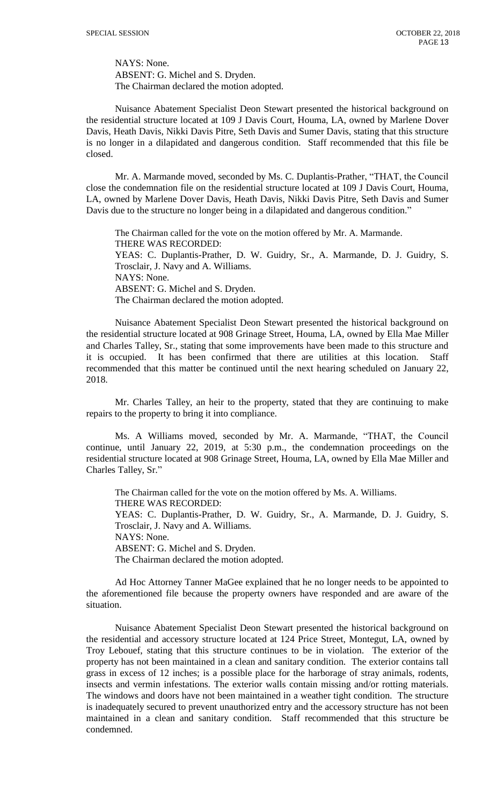NAYS: None. ABSENT: G. Michel and S. Dryden. The Chairman declared the motion adopted.

Nuisance Abatement Specialist Deon Stewart presented the historical background on the residential structure located at 109 J Davis Court, Houma, LA, owned by Marlene Dover Davis, Heath Davis, Nikki Davis Pitre, Seth Davis and Sumer Davis, stating that this structure is no longer in a dilapidated and dangerous condition. Staff recommended that this file be closed.

Mr. A. Marmande moved, seconded by Ms. C. Duplantis-Prather, "THAT, the Council close the condemnation file on the residential structure located at 109 J Davis Court, Houma, LA, owned by Marlene Dover Davis, Heath Davis, Nikki Davis Pitre, Seth Davis and Sumer Davis due to the structure no longer being in a dilapidated and dangerous condition."

The Chairman called for the vote on the motion offered by Mr. A. Marmande. THERE WAS RECORDED: YEAS: C. Duplantis-Prather, D. W. Guidry, Sr., A. Marmande, D. J. Guidry, S. Trosclair, J. Navy and A. Williams. NAYS: None. ABSENT: G. Michel and S. Dryden. The Chairman declared the motion adopted.

Nuisance Abatement Specialist Deon Stewart presented the historical background on the residential structure located at 908 Grinage Street, Houma, LA, owned by Ella Mae Miller and Charles Talley, Sr., stating that some improvements have been made to this structure and it is occupied. It has been confirmed that there are utilities at this location. Staff recommended that this matter be continued until the next hearing scheduled on January 22, 2018.

Mr. Charles Talley, an heir to the property, stated that they are continuing to make repairs to the property to bring it into compliance.

Ms. A Williams moved, seconded by Mr. A. Marmande, "THAT, the Council continue, until January 22, 2019, at 5:30 p.m., the condemnation proceedings on the residential structure located at 908 Grinage Street, Houma, LA, owned by Ella Mae Miller and Charles Talley, Sr."

The Chairman called for the vote on the motion offered by Ms. A. Williams. THERE WAS RECORDED: YEAS: C. Duplantis-Prather, D. W. Guidry, Sr., A. Marmande, D. J. Guidry, S. Trosclair, J. Navy and A. Williams. NAYS: None. ABSENT: G. Michel and S. Dryden. The Chairman declared the motion adopted.

Ad Hoc Attorney Tanner MaGee explained that he no longer needs to be appointed to the aforementioned file because the property owners have responded and are aware of the situation.

Nuisance Abatement Specialist Deon Stewart presented the historical background on the residential and accessory structure located at 124 Price Street, Montegut, LA, owned by Troy Lebouef, stating that this structure continues to be in violation. The exterior of the property has not been maintained in a clean and sanitary condition. The exterior contains tall grass in excess of 12 inches; is a possible place for the harborage of stray animals, rodents, insects and vermin infestations. The exterior walls contain missing and/or rotting materials. The windows and doors have not been maintained in a weather tight condition. The structure is inadequately secured to prevent unauthorized entry and the accessory structure has not been maintained in a clean and sanitary condition. Staff recommended that this structure be condemned.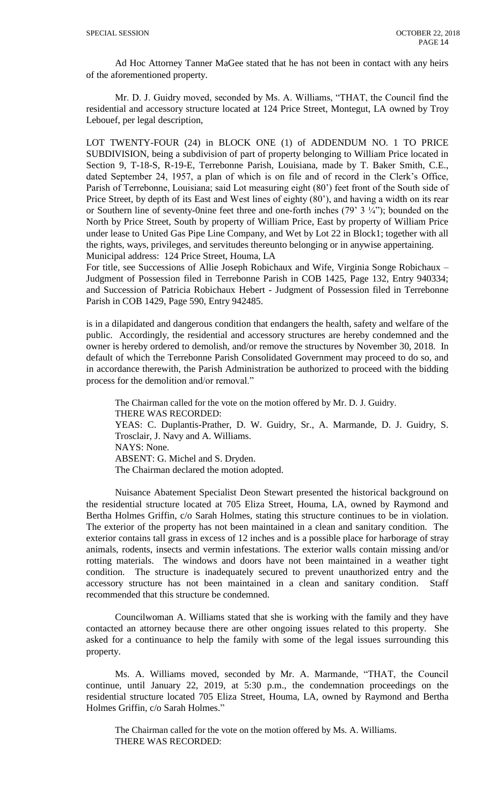Ad Hoc Attorney Tanner MaGee stated that he has not been in contact with any heirs of the aforementioned property.

Mr. D. J. Guidry moved, seconded by Ms. A. Williams, "THAT, the Council find the residential and accessory structure located at 124 Price Street, Montegut, LA owned by Troy Lebouef, per legal description,

LOT TWENTY-FOUR (24) in BLOCK ONE (1) of ADDENDUM NO. 1 TO PRICE SUBDIVISION, being a subdivision of part of property belonging to William Price located in Section 9, T-18-S, R-19-E, Terrebonne Parish, Louisiana, made by T. Baker Smith, C.E., dated September 24, 1957, a plan of which is on file and of record in the Clerk's Office, Parish of Terrebonne, Louisiana; said Lot measuring eight (80') feet front of the South side of Price Street, by depth of its East and West lines of eighty (80'), and having a width on its rear or Southern line of seventy-0nine feet three and one-forth inches (79'  $3 \frac{1}{4}$ "); bounded on the North by Price Street, South by property of William Price, East by property of William Price under lease to United Gas Pipe Line Company, and Wet by Lot 22 in Block1; together with all the rights, ways, privileges, and servitudes thereunto belonging or in anywise appertaining. Municipal address: 124 Price Street, Houma, LA

For title, see Successions of Allie Joseph Robichaux and Wife, Virginia Songe Robichaux – Judgment of Possession filed in Terrebonne Parish in COB 1425, Page 132, Entry 940334; and Succession of Patricia Robichaux Hebert - Judgment of Possession filed in Terrebonne Parish in COB 1429, Page 590, Entry 942485.

is in a dilapidated and dangerous condition that endangers the health, safety and welfare of the public. Accordingly, the residential and accessory structures are hereby condemned and the owner is hereby ordered to demolish, and/or remove the structures by November 30, 2018. In default of which the Terrebonne Parish Consolidated Government may proceed to do so, and in accordance therewith, the Parish Administration be authorized to proceed with the bidding process for the demolition and/or removal."

The Chairman called for the vote on the motion offered by Mr. D. J. Guidry. THERE WAS RECORDED: YEAS: C. Duplantis-Prather, D. W. Guidry, Sr., A. Marmande, D. J. Guidry, S. Trosclair, J. Navy and A. Williams. NAYS: None. ABSENT: G. Michel and S. Dryden. The Chairman declared the motion adopted.

Nuisance Abatement Specialist Deon Stewart presented the historical background on the residential structure located at 705 Eliza Street, Houma, LA, owned by Raymond and Bertha Holmes Griffin, c/o Sarah Holmes, stating this structure continues to be in violation. The exterior of the property has not been maintained in a clean and sanitary condition. The exterior contains tall grass in excess of 12 inches and is a possible place for harborage of stray animals, rodents, insects and vermin infestations. The exterior walls contain missing and/or rotting materials. The windows and doors have not been maintained in a weather tight condition. The structure is inadequately secured to prevent unauthorized entry and the accessory structure has not been maintained in a clean and sanitary condition. Staff recommended that this structure be condemned.

Councilwoman A. Williams stated that she is working with the family and they have contacted an attorney because there are other ongoing issues related to this property. She asked for a continuance to help the family with some of the legal issues surrounding this property.

Ms. A. Williams moved, seconded by Mr. A. Marmande, "THAT, the Council continue, until January 22, 2019, at 5:30 p.m., the condemnation proceedings on the residential structure located 705 Eliza Street, Houma, LA, owned by Raymond and Bertha Holmes Griffin, c/o Sarah Holmes."

The Chairman called for the vote on the motion offered by Ms. A. Williams. THERE WAS RECORDED: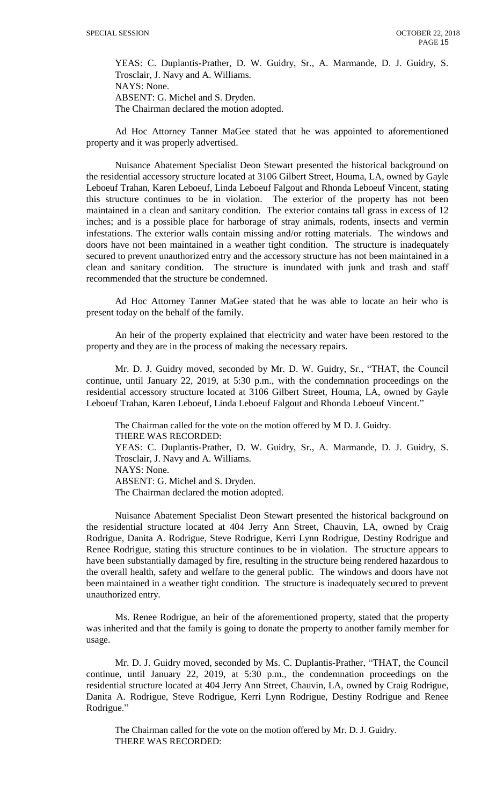YEAS: C. Duplantis-Prather, D. W. Guidry, Sr., A. Marmande, D. J. Guidry, S. Trosclair, J. Navy and A. Williams. NAYS: None. ABSENT: G. Michel and S. Dryden. The Chairman declared the motion adopted.

Ad Hoc Attorney Tanner MaGee stated that he was appointed to aforementioned property and it was properly advertised.

Nuisance Abatement Specialist Deon Stewart presented the historical background on the residential accessory structure located at 3106 Gilbert Street, Houma, LA, owned by Gayle Leboeuf Trahan, Karen Leboeuf, Linda Leboeuf Falgout and Rhonda Leboeuf Vincent, stating this structure continues to be in violation. The exterior of the property has not been maintained in a clean and sanitary condition. The exterior contains tall grass in excess of 12 inches; and is a possible place for harborage of stray animals, rodents, insects and vermin infestations. The exterior walls contain missing and/or rotting materials. The windows and doors have not been maintained in a weather tight condition. The structure is inadequately secured to prevent unauthorized entry and the accessory structure has not been maintained in a clean and sanitary condition. The structure is inundated with junk and trash and staff recommended that the structure be condemned.

Ad Hoc Attorney Tanner MaGee stated that he was able to locate an heir who is present today on the behalf of the family.

An heir of the property explained that electricity and water have been restored to the property and they are in the process of making the necessary repairs.

Mr. D. J. Guidry moved, seconded by Mr. D. W. Guidry, Sr., "THAT, the Council continue, until January 22, 2019, at 5:30 p.m., with the condemnation proceedings on the residential accessory structure located at 3106 Gilbert Street, Houma, LA, owned by Gayle Leboeuf Trahan, Karen Leboeuf, Linda Leboeuf Falgout and Rhonda Leboeuf Vincent."

The Chairman called for the vote on the motion offered by M D. J. Guidry. THERE WAS RECORDED: YEAS: C. Duplantis-Prather, D. W. Guidry, Sr., A. Marmande, D. J. Guidry, S. Trosclair, J. Navy and A. Williams. NAYS: None. ABSENT: G. Michel and S. Dryden. The Chairman declared the motion adopted.

Nuisance Abatement Specialist Deon Stewart presented the historical background on the residential structure located at 404 Jerry Ann Street, Chauvin, LA, owned by Craig Rodrigue, Danita A. Rodrigue, Steve Rodrigue, Kerri Lynn Rodrigue, Destiny Rodrigue and Renee Rodrigue, stating this structure continues to be in violation. The structure appears to have been substantially damaged by fire, resulting in the structure being rendered hazardous to the overall health, safety and welfare to the general public. The windows and doors have not been maintained in a weather tight condition. The structure is inadequately secured to prevent unauthorized entry.

Ms. Renee Rodrigue, an heir of the aforementioned property, stated that the property was inherited and that the family is going to donate the property to another family member for usage.

Mr. D. J. Guidry moved, seconded by Ms. C. Duplantis-Prather, "THAT, the Council continue, until January 22, 2019, at 5:30 p.m., the condemnation proceedings on the residential structure located at 404 Jerry Ann Street, Chauvin, LA, owned by Craig Rodrigue, Danita A. Rodrigue, Steve Rodrigue, Kerri Lynn Rodrigue, Destiny Rodrigue and Renee Rodrigue."

The Chairman called for the vote on the motion offered by Mr. D. J. Guidry. THERE WAS RECORDED: